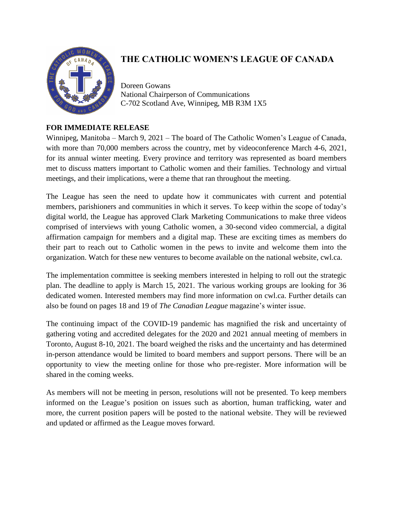

## **THE CATHOLIC WOMEN'S LEAGUE OF CANADA**

Doreen Gowans National Chairperson of Communications C-702 Scotland Ave, Winnipeg, MB R3M 1X5

## **FOR IMMEDIATE RELEASE**

Winnipeg, Manitoba – March 9, 2021 – The board of The Catholic Women's League of Canada, with more than 70,000 members across the country, met by videoconference March 4-6, 2021, for its annual winter meeting. Every province and territory was represented as board members met to discuss matters important to Catholic women and their families. Technology and virtual meetings, and their implications, were a theme that ran throughout the meeting.

The League has seen the need to update how it communicates with current and potential members, parishioners and communities in which it serves. To keep within the scope of today's digital world, the League has approved Clark Marketing Communications to make three videos comprised of interviews with young Catholic women, a 30-second video commercial, a digital affirmation campaign for members and a digital map. These are exciting times as members do their part to reach out to Catholic women in the pews to invite and welcome them into the organization. Watch for these new ventures to become available on the national website, cwl.ca.

The implementation committee is seeking members interested in helping to roll out the strategic plan. The deadline to apply is March 15, 2021. The various working groups are looking for 36 dedicated women. Interested members may find more information on cwl.ca. Further details can also be found on pages 18 and 19 of *The Canadian League* magazine's winter issue.

The continuing impact of the COVID-19 pandemic has magnified the risk and uncertainty of gathering voting and accredited delegates for the 2020 and 2021 annual meeting of members in Toronto, August 8-10, 2021. The board weighed the risks and the uncertainty and has determined in-person attendance would be limited to board members and support persons. There will be an opportunity to view the meeting online for those who pre-register. More information will be shared in the coming weeks.

As members will not be meeting in person, resolutions will not be presented. To keep members informed on the League's position on issues such as abortion, human trafficking, water and more, the current position papers will be posted to the national website. They will be reviewed and updated or affirmed as the League moves forward.